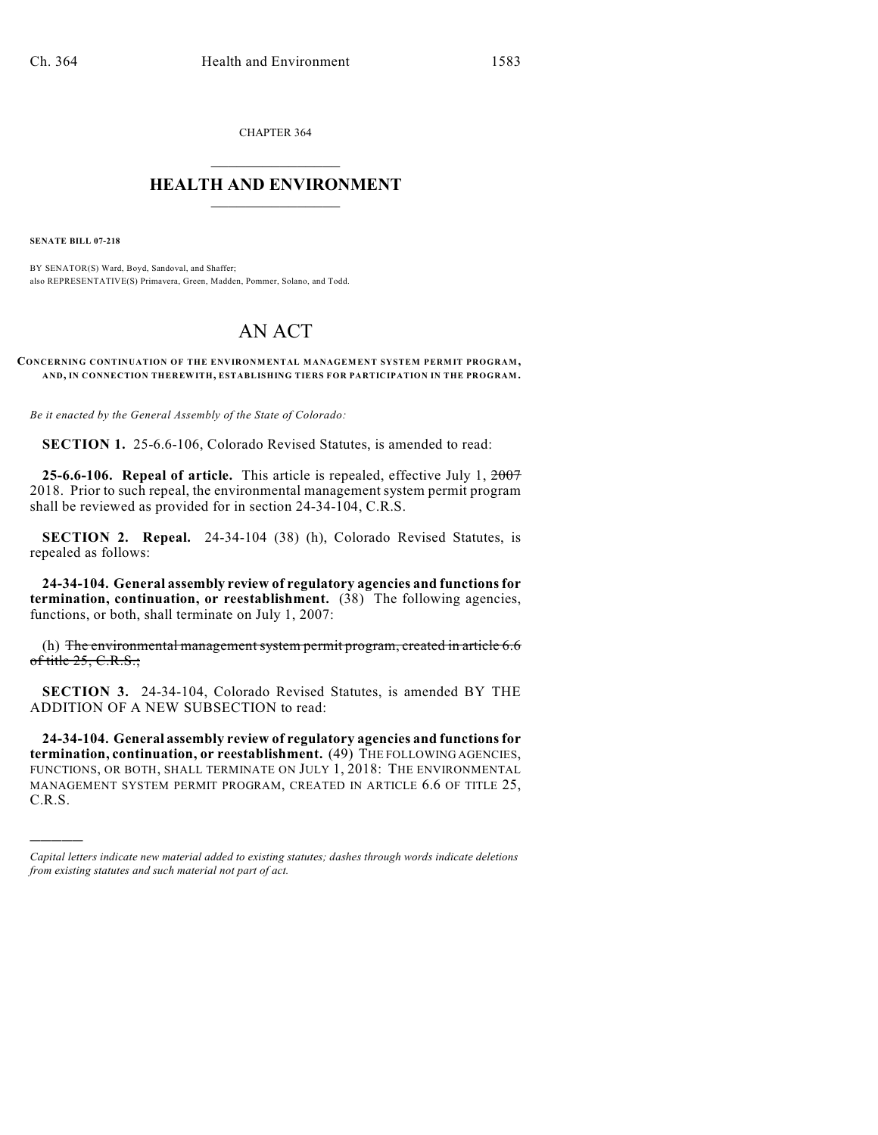CHAPTER 364  $\overline{\phantom{a}}$  . The set of the set of the set of the set of the set of the set of the set of the set of the set of the set of the set of the set of the set of the set of the set of the set of the set of the set of the set o

## **HEALTH AND ENVIRONMENT**  $\_$

**SENATE BILL 07-218**

)))))

BY SENATOR(S) Ward, Boyd, Sandoval, and Shaffer; also REPRESENTATIVE(S) Primavera, Green, Madden, Pommer, Solano, and Todd.

## AN ACT

**CONCERNING CONTINUATION OF THE ENVIRONMENTAL MANAGEMENT SYSTEM PERMIT PROGRAM, AND, IN CONNECTION THEREWITH, ESTABLISHING TIERS FOR PARTICIPATION IN THE PROGRAM.**

*Be it enacted by the General Assembly of the State of Colorado:*

**SECTION 1.** 25-6.6-106, Colorado Revised Statutes, is amended to read:

**25-6.6-106. Repeal of article.** This article is repealed, effective July 1, 2007 2018. Prior to such repeal, the environmental management system permit program shall be reviewed as provided for in section 24-34-104, C.R.S.

**SECTION 2. Repeal.** 24-34-104 (38) (h), Colorado Revised Statutes, is repealed as follows:

**24-34-104. General assembly review of regulatory agencies and functions for termination, continuation, or reestablishment.** (38) The following agencies, functions, or both, shall terminate on July 1, 2007:

(h) The environmental management system permit program, created in article 6.6 of title  $25, C.R.S.$ ;

**SECTION 3.** 24-34-104, Colorado Revised Statutes, is amended BY THE ADDITION OF A NEW SUBSECTION to read:

**24-34-104. General assembly review of regulatory agencies and functions for termination, continuation, or reestablishment.** (49) THE FOLLOWING AGENCIES, FUNCTIONS, OR BOTH, SHALL TERMINATE ON JULY 1, 2018: THE ENVIRONMENTAL MANAGEMENT SYSTEM PERMIT PROGRAM, CREATED IN ARTICLE 6.6 OF TITLE 25, C.R.S.

*Capital letters indicate new material added to existing statutes; dashes through words indicate deletions from existing statutes and such material not part of act.*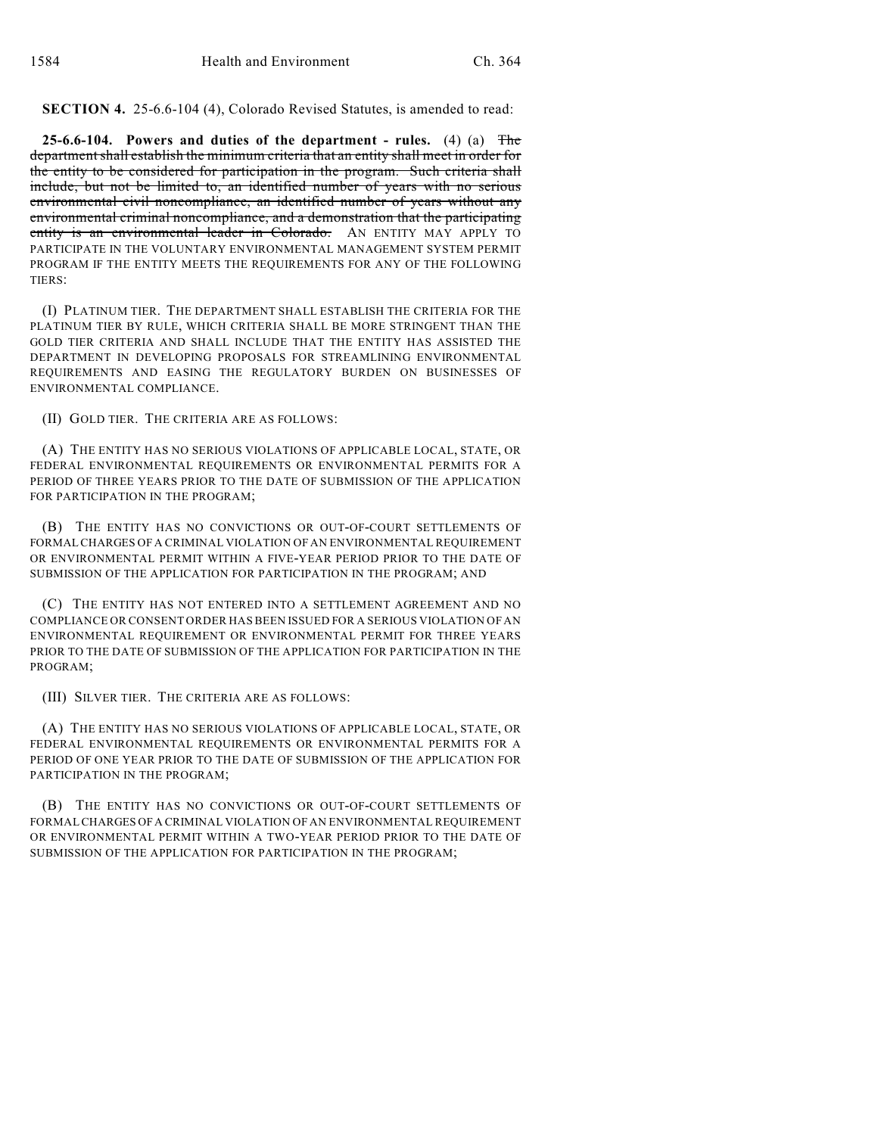**SECTION 4.** 25-6.6-104 (4), Colorado Revised Statutes, is amended to read:

**25-6.6-104. Powers and duties of the department - rules.** (4) (a) The departmentshall establish the minimum criteria that an entity shall meet in order for the entity to be considered for participation in the program. Such criteria shall include, but not be limited to, an identified number of years with no serious environmental civil noncompliance, an identified number of years without any environmental criminal noncompliance, and a demonstration that the participating entity is an environmental leader in Colorado. AN ENTITY MAY APPLY TO PARTICIPATE IN THE VOLUNTARY ENVIRONMENTAL MANAGEMENT SYSTEM PERMIT PROGRAM IF THE ENTITY MEETS THE REQUIREMENTS FOR ANY OF THE FOLLOWING TIERS:

(I) PLATINUM TIER. THE DEPARTMENT SHALL ESTABLISH THE CRITERIA FOR THE PLATINUM TIER BY RULE, WHICH CRITERIA SHALL BE MORE STRINGENT THAN THE GOLD TIER CRITERIA AND SHALL INCLUDE THAT THE ENTITY HAS ASSISTED THE DEPARTMENT IN DEVELOPING PROPOSALS FOR STREAMLINING ENVIRONMENTAL REQUIREMENTS AND EASING THE REGULATORY BURDEN ON BUSINESSES OF ENVIRONMENTAL COMPLIANCE.

(II) GOLD TIER. THE CRITERIA ARE AS FOLLOWS:

(A) THE ENTITY HAS NO SERIOUS VIOLATIONS OF APPLICABLE LOCAL, STATE, OR FEDERAL ENVIRONMENTAL REQUIREMENTS OR ENVIRONMENTAL PERMITS FOR A PERIOD OF THREE YEARS PRIOR TO THE DATE OF SUBMISSION OF THE APPLICATION FOR PARTICIPATION IN THE PROGRAM;

(B) THE ENTITY HAS NO CONVICTIONS OR OUT-OF-COURT SETTLEMENTS OF FORMAL CHARGES OF A CRIMINAL VIOLATION OF AN ENVIRONMENTAL REQUIREMENT OR ENVIRONMENTAL PERMIT WITHIN A FIVE-YEAR PERIOD PRIOR TO THE DATE OF SUBMISSION OF THE APPLICATION FOR PARTICIPATION IN THE PROGRAM; AND

(C) THE ENTITY HAS NOT ENTERED INTO A SETTLEMENT AGREEMENT AND NO COMPLIANCE OR CONSENT ORDER HAS BEEN ISSUED FOR A SERIOUS VIOLATION OF AN ENVIRONMENTAL REQUIREMENT OR ENVIRONMENTAL PERMIT FOR THREE YEARS PRIOR TO THE DATE OF SUBMISSION OF THE APPLICATION FOR PARTICIPATION IN THE PROGRAM;

(III) SILVER TIER. THE CRITERIA ARE AS FOLLOWS:

(A) THE ENTITY HAS NO SERIOUS VIOLATIONS OF APPLICABLE LOCAL, STATE, OR FEDERAL ENVIRONMENTAL REQUIREMENTS OR ENVIRONMENTAL PERMITS FOR A PERIOD OF ONE YEAR PRIOR TO THE DATE OF SUBMISSION OF THE APPLICATION FOR PARTICIPATION IN THE PROGRAM;

(B) THE ENTITY HAS NO CONVICTIONS OR OUT-OF-COURT SETTLEMENTS OF FORMAL CHARGES OF A CRIMINAL VIOLATION OF AN ENVIRONMENTAL REQUIREMENT OR ENVIRONMENTAL PERMIT WITHIN A TWO-YEAR PERIOD PRIOR TO THE DATE OF SUBMISSION OF THE APPLICATION FOR PARTICIPATION IN THE PROGRAM;